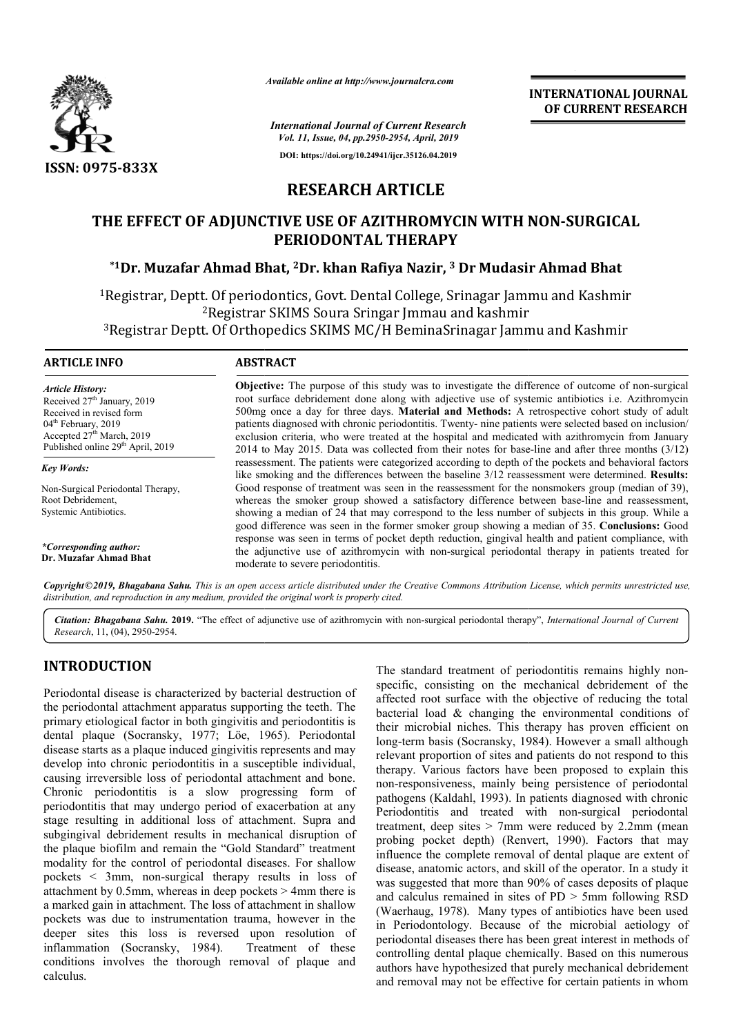

*Available online at http://www.journalcra.com*

**INTERNATIONAL JOURNAL OF CURRENT RESEARCH**

*International Journal of Current Research Vol. 11, Issue, 04, pp.2950-2954, April, 2019* **DOI: https://doi.org/10.24941/ijcr.35126.04.2019**

# **RESEARCH ARTICLE**

### **THE EFFECT OF ADJUNCTIVE USE OF AZITHROMYCIN WITH NON NON-SURGICAL PERIODONTAL THERAPY**

### **\*1Dr. Muzafar Ahmad Bhat, Dr. 2Dr. khan Rafiya Nazir, 3 Dr Mudasir Ahmad Bhat**

1Registrar, Deptt. Of periodontics, Govt. Dental College, Srinagar Jammu and Kashmir 2Registrar SKIMS Soura Sringar Jmmau and kashmir Registrar, Deptt. Of periodontics, Govt. Dental College, Srinagar Jammu and Kashmi:<br><sup>2</sup>Registrar SKIMS Soura Sringar Jmmau and kashmir<br><sup>3</sup>Registrar Deptt. Of Orthopedics SKIMS MC/H BeminaSrinagar Jammu and Kashmir

| <b>ARTICLE INFO</b>                           | <b>ABSTRACT</b>                                                                                                                                                                                           |
|-----------------------------------------------|-----------------------------------------------------------------------------------------------------------------------------------------------------------------------------------------------------------|
| <b>Article History:</b>                       | <b>Objective:</b> The purpose of this study was to investigate the difference of outcome of non-surgical                                                                                                  |
| Received $27th$ January, 2019                 | root surface debridement done along with adjective use of systemic antibiotics <i>i.e.</i> Azithromycin                                                                                                   |
| Received in revised form                      | 500mg once a day for three days. <b>Material and Methods:</b> A retrospective cohort study of adult                                                                                                       |
| 04 <sup>th</sup> February, 2019               | patients diagnosed with chronic periodontitis. Twenty- nine patients were selected based on inclusion                                                                                                     |
| Accepted $27th$ March, 2019                   | exclusion criteria, who were treated at the hospital and medicated with azithromycin from January                                                                                                         |
| Published online 29 <sup>th</sup> April, 2019 | 2014 to May 2015. Data was collected from their notes for base-line and after three months $(3/12)$                                                                                                       |
| Key Words:                                    | reassessment. The patients were categorized according to depth of the pockets and behavioral factors<br>like smoking and the differences between the baseline 3/12 reassessment were determined. Results: |
| Non-Surgical Periodontal Therapy,             | Good response of treatment was seen in the reassessment for the nonsmokers group (median of 39),                                                                                                          |
| Root Debridement,                             | whereas the smoker group showed a satisfactory difference between base-line and reassessment,                                                                                                             |
| Systemic Antibiotics.                         | showing a median of 24 that may correspond to the less number of subjects in this group. While a                                                                                                          |

*\*Corresponding author:*  **Dr. Muzafar Ahmad Bhat**

showing a median of 24 that may correspond to the less num good difference was seen in the former smoker group showing a median of 35. response was seen in terms of pocket depth reduction, gingival health and patient compliance, with response was seen in terms of pocket depth reduction, gingival health and patient compliance, with the adjunctive use of azithromycin with non-surgical periodontal therapy in patients treated for moderate to severe periodontitis. showing a median of 24 that may correspond to the less number of subjects in this group. While a good difference was seen in the former smoker group showing a median of 35. **Conclusions:** Good

Copyright©2019, Bhagabana Sahu. This is an open access article distributed under the Creative Commons Attribution License, which permits unrestricted use, *distribution, and reproduction in any medium, provided the original work is properly cited.*

Citation: Bhagabana Sahu. 2019. "The effect of adjunctive use of azithromycin with non-surgical periodontal therapy", *International Journal of Current Research*, 11, (04), 2950-2954.

## **INTRODUCTION**

Periodontal disease is characterized by bacterial destruction of the periodontal attachment apparatus supporting the teeth. The primary etiological factor in both gingivitis and periodontitis is dental plaque (Socransky, 1977; Löe, 1965 , 1965). Periodontal disease starts as a plaque induced gingivitis represents and may develop into chronic periodontitis in a susceptible individual, causing irreversible loss of periodontal attachment and bone. Chronic periodontitis is a slow progressing form of periodontitis that may undergo period of exacerbation at any stage resulting in additional loss of attachment. Supra and subgingival debridement results in mechanical disruption of the plaque biofilm and remain the "Gold Standard" treatment modality for the control of periodontal diseases. For shallow pockets < 3mm, non-surgical therapy results in loss of attachment by 0.5mm, whereas in deep pockets > 4mm there is a marked gain in attachment. The loss of attachment in shallow pockets was due to instrumentation trauma, howeve deeper sites this loss is reversed upon resolution of inflammation (Socransky, 1984). Treatment of these inflammation (Socransky, 1984). conditions involves the thorough removal of plaque and calculus. se starts as a plaque induced gingivitis represents and may<br>lop into chronic periodontitis in a susceptible individual,<br>ng irreversible loss of periodontal attachment and bone.<br>inc periodontitis is a slow progressing form

The standard treatment of periodontitis remains highly non<br>sus usus supporting the teeth. The<br>streetheic, consisting on the mechanical debridement of the<br>inigivitis and periodontitis is<br>their microbial niches. This therap specific, consisting on the mechanical debridement of the affected root surface with the objective of reducing the total bacterial load & changing the environmental conditions of their microbial niches. This therapy has proven efficient on long-term basis (Socransky, 1984). However a small although relevant proportion of sites and patients do not respond to this therapy. Various factors have been proposed to explain this non-responsiveness, mainly being persistence of periodontal pathogens (Kaldahl, 1993). In patients diagnosed with chronic Periodontitis and treated with non-surgical periodontal treatment, deep sites  $> 7$ mm were reduced by 2.2mm (mean treatment, deep sites > 7mm were reduced by 2.2mm (mean probing pocket depth) (Renvert, 1990). Factors that may influence the complete removal of dental plaque are extent of disease, anatomic actors, and skill of the operator. In a study it was suggested that more than 90% of cases deposits of plaque and calculus remained in sites of PD > 5mm following RSD (Waerhaug, 1978). Many types of antibiotics have been used in Periodontology. Because of the microbial aetiology of periodontal diseases there has been great interest in methods of controlling dental plaque chemically. Based on this numerous authors have hypothesized that purely mechanical debridement and removal may not be effective for certain patients in whom The standard treatment of periodontitis remains highly nonsisting on the mechanical debridement of the<br>surface with the objective of reducing the total<br>d & changing the environmental conditions of<br>al niches. This therapy has proven efficient on<br>sis (Socransky, 1984). However a sm vant proportion of sites and patients do not respond to this hpy. Various factors have been proposed to explain this responsiveness, mainly being persistence of periodontal ogens (Kaldahl, 1993). In patients diagnosed with **EXERCIS (SAMPLE)**<br> **EXECUTS ASSESSARCH**<br> **EXECUTS ASSESSARCH**<br> **EXECUTS ASSESSARCH**<br> **EXECUTS ASSESSARCH**<br> **EXECUTS ASSESSARCH**<br> **EXECUTS ASSESSARCH**<br> **EXECUTS ASSESSARCH**<br> **EXECUTS ASSESS**<br> **EXECUTS ASSESS**<br> **EXECUTS ASS**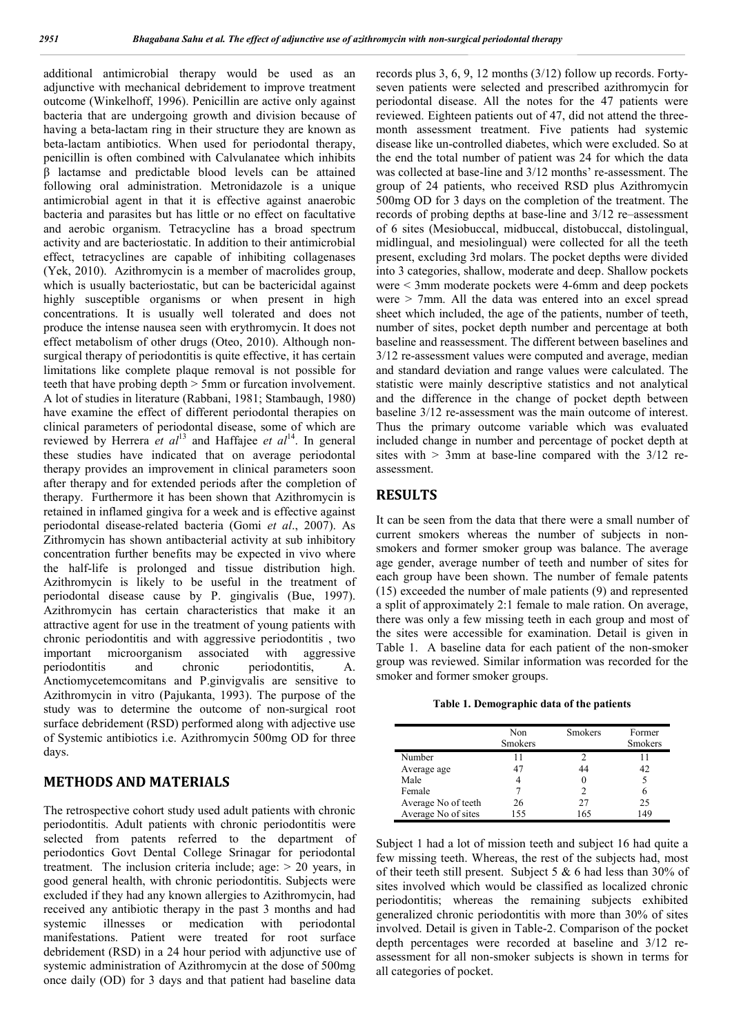additional antimicrobial therapy would be used as an adjunctive with mechanical debridement to improve treatment outcome (Winkelhoff, 1996). Penicillin are active only against bacteria that are undergoing growth and division because of having a beta-lactam ring in their structure they are known as beta-lactam antibiotics. When used for periodontal therapy, penicillin is often combined with Calvulanatee which inhibits β lactamse and predictable blood levels can be attained following oral administration. Metronidazole is a unique antimicrobial agent in that it is effective against anaerobic bacteria and parasites but has little or no effect on facultative and aerobic organism. Tetracycline has a broad spectrum activity and are bacteriostatic. In addition to their antimicrobial effect, tetracyclines are capable of inhibiting collagenases (Yek, 2010). Azithromycin is a member of macrolides group, which is usually bacteriostatic, but can be bactericidal against highly susceptible organisms or when present in high concentrations. It is usually well tolerated and does not produce the intense nausea seen with erythromycin. It does not effect metabolism of other drugs (Oteo, 2010). Although nonsurgical therapy of periodontitis is quite effective, it has certain limitations like complete plaque removal is not possible for teeth that have probing depth > 5mm or furcation involvement. A lot of studies in literature (Rabbani, 1981; Stambaugh, 1980) have examine the effect of different periodontal therapies on clinical parameters of periodontal disease, some of which are reviewed by Herrera *et al*<sup>13</sup> and Haffajee *et al*14. In general these studies have indicated that on average periodontal therapy provides an improvement in clinical parameters soon after therapy and for extended periods after the completion of therapy. Furthermore it has been shown that Azithromycin is retained in inflamed gingiva for a week and is effective against periodontal disease-related bacteria (Gomi *et al*., 2007). As Zithromycin has shown antibacterial activity at sub inhibitory concentration further benefits may be expected in vivo where the half-life is prolonged and tissue distribution high. Azithromycin is likely to be useful in the treatment of periodontal disease cause by P. gingivalis (Bue, 1997). Azithromycin has certain characteristics that make it an attractive agent for use in the treatment of young patients with chronic periodontitis and with aggressive periodontitis , two important microorganism associated with aggressive periodontitis and chronic periodontitis, A. Anctiomycetemcomitans and P.ginvigvalis are sensitive to Azithromycin in vitro (Pajukanta, 1993). The purpose of the study was to determine the outcome of non-surgical root surface debridement (RSD) performed along with adjective use of Systemic antibiotics i.e. Azithromycin 500mg OD for three days.

#### **METHODS AND MATERIALS**

The retrospective cohort study used adult patients with chronic periodontitis. Adult patients with chronic periodontitis were selected from patents referred to the department of periodontics Govt Dental College Srinagar for periodontal treatment. The inclusion criteria include; age:  $> 20$  years, in good general health, with chronic periodontitis. Subjects were excluded if they had any known allergies to Azithromycin, had received any antibiotic therapy in the past 3 months and had systemic illnesses or medication with periodontal manifestations. Patient were treated for root surface debridement (RSD) in a 24 hour period with adjunctive use of systemic administration of Azithromycin at the dose of 500mg once daily (OD) for 3 days and that patient had baseline data

records plus 3, 6, 9, 12 months (3/12) follow up records. Fortyseven patients were selected and prescribed azithromycin for periodontal disease. All the notes for the 47 patients were reviewed. Eighteen patients out of 47, did not attend the threemonth assessment treatment. Five patients had systemic disease like un-controlled diabetes, which were excluded. So at the end the total number of patient was 24 for which the data was collected at base-line and 3/12 months' re-assessment. The group of 24 patients, who received RSD plus Azithromycin 500mg OD for 3 days on the completion of the treatment. The records of probing depths at base-line and 3/12 re–assessment of 6 sites (Mesiobuccal, midbuccal, distobuccal, distolingual, midlingual, and mesiolingual) were collected for all the teeth present, excluding 3rd molars. The pocket depths were divided into 3 categories, shallow, moderate and deep. Shallow pockets were < 3mm moderate pockets were 4-6mm and deep pockets were > 7mm. All the data was entered into an excel spread sheet which included, the age of the patients, number of teeth, number of sites, pocket depth number and percentage at both baseline and reassessment. The different between baselines and 3/12 re-assessment values were computed and average, median and standard deviation and range values were calculated. The statistic were mainly descriptive statistics and not analytical and the difference in the change of pocket depth between baseline 3/12 re-assessment was the main outcome of interest. Thus the primary outcome variable which was evaluated included change in number and percentage of pocket depth at sites with  $> 3$ mm at base-line compared with the  $3/12$  reassessment.

#### **RESULTS**

It can be seen from the data that there were a small number of current smokers whereas the number of subjects in nonsmokers and former smoker group was balance. The average age gender, average number of teeth and number of sites for each group have been shown. The number of female patents (15) exceeded the number of male patients (9) and represented a split of approximately 2:1 female to male ration. On average, there was only a few missing teeth in each group and most of the sites were accessible for examination. Detail is given in Table 1. A baseline data for each patient of the non-smoker group was reviewed. Similar information was recorded for the smoker and former smoker groups.

**Table 1. Demographic data of the patients**

|                     | Non<br><b>Smokers</b> | <b>Smokers</b> | Former<br><b>Smokers</b> |
|---------------------|-----------------------|----------------|--------------------------|
| Number              | 11                    |                |                          |
| Average age         | 47                    |                |                          |
| Male                |                       |                |                          |
| Female              |                       |                |                          |
| Average No of teeth | 26                    | 27             | 25                       |
| Average No of sites | 155                   | 165            | 149                      |

Subject 1 had a lot of mission teeth and subject 16 had quite a few missing teeth. Whereas, the rest of the subjects had, most of their teeth still present. Subject 5 & 6 had less than 30% of sites involved which would be classified as localized chronic periodontitis; whereas the remaining subjects exhibited generalized chronic periodontitis with more than 30% of sites involved. Detail is given in Table-2. Comparison of the pocket depth percentages were recorded at baseline and 3/12 reassessment for all non-smoker subjects is shown in terms for all categories of pocket.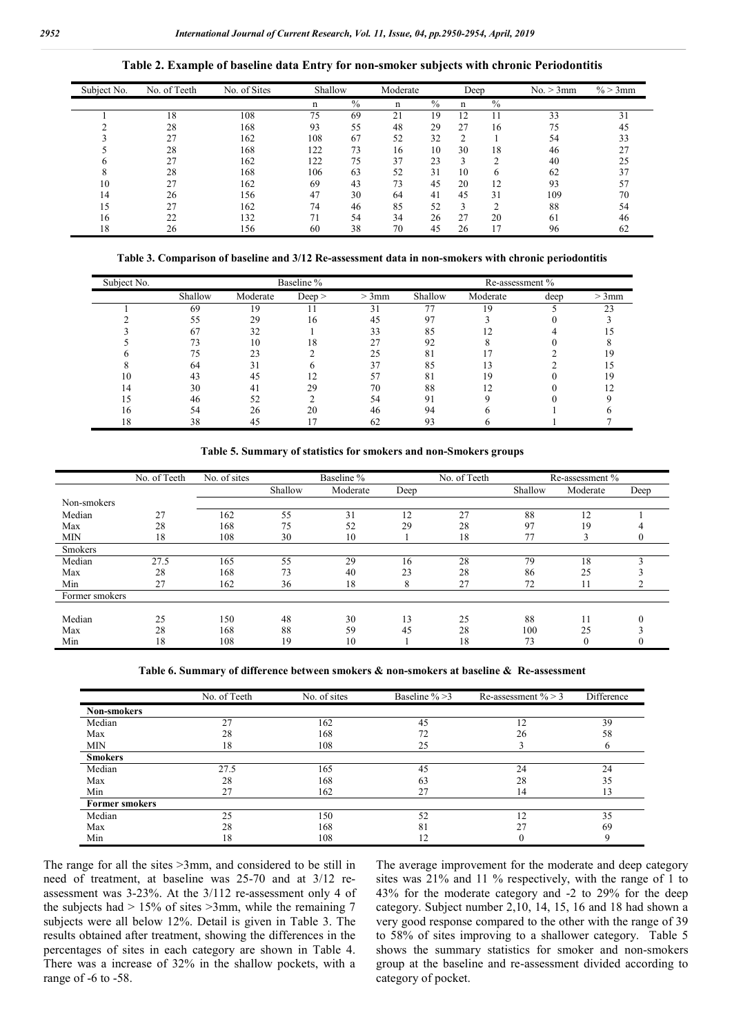| Subject No. | No. of Teeth | No. of Sites | Shallow |      | Moderate | Deep          |                |               | No. > 3mm | $\% > 3$ mm |
|-------------|--------------|--------------|---------|------|----------|---------------|----------------|---------------|-----------|-------------|
|             |              |              | n       | $\%$ | n        | $\frac{0}{0}$ | n              | $\frac{0}{0}$ |           |             |
|             | 18           | 108          | 75      | 69   | 21       | 19            | 12             | 11            | 33        | 31          |
|             | 28           | 168          | 93      | 55   | 48       | 29            | 27             | 16            | 75        | 45          |
|             | 27           | 162          | 108     | 67   | 52       | 32            | $\overline{2}$ |               | 54        | 33          |
|             | 28           | 168          | 122     | 73   | 16       | 10            | 30             | 18            | 46        | 27          |
|             | 27           | 162          | 122     | 75   | 37       | 23            | 3              | ◠             | 40        | 25          |
|             | 28           | 168          | 106     | 63   | 52       | 31            | 10             | 6             | 62        | 37          |
| 10          | 27           | 162          | 69      | 43   | 73       | 45            | 20             | 12            | 93        |             |
| 14          | 26           | 156          | 47      | 30   | 64       | 41            | 45             | 31            | 109       | 70          |
| 15          | 27           | 162          | 74      | 46   | 85       | 52            | 3              | ↑             | 88        | 54          |
| 16          | 22           | 132          |         | 54   | 34       | 26            | 27             | 20            | 61        | 46          |
| 18          | 26           | 156          | 60      | 38   | 70       | 45            | 26             | 17            | 96        | 62          |

#### **Table 3. Comparison of baseline and 3/12 Re-assessment data in non-smokers with chronic periodontitis**

| Subject No. |         |          | Baseline % |       |         | Re-assessment % |      |         |
|-------------|---------|----------|------------|-------|---------|-----------------|------|---------|
|             | Shallow | Moderate | Deep >     | > 3mm | Shallow | Moderate        | deep | $>3$ mm |
|             | 69      | 19       |            | 31    | 77      | 19              |      | 23      |
|             | 55      | 29       | 16         | 45    | 97      |                 |      |         |
|             | 67      | 32       |            | 33    | 85      |                 |      |         |
|             |         | 10       | 18         | 27    | 92      |                 |      |         |
|             |         | 23       |            | 25    | 81      |                 |      | 19      |
|             | 64      | 31       |            | 37    | 85      |                 |      |         |
| 10          | 43      | 45       |            | 57    | 81      | 19              |      | 19      |
| 14          | 30      | 41       | 29         | 70    | 88      |                 |      |         |
|             | 46      | 52       |            | 54    | 91      |                 |      |         |
| 16          | 54      | 26       | 20         | 46    | 94      |                 |      |         |
| 18          | 38      | 45       |            | 62    | 93      |                 |      |         |

**Table 5. Summary of statistics for smokers and non-Smokers groups**

|                | No. of Teeth | No. of sites | Baseline % |          |      | No. of Teeth | Re-assessment % |          |      |
|----------------|--------------|--------------|------------|----------|------|--------------|-----------------|----------|------|
|                |              |              | Shallow    | Moderate | Deep |              | Shallow         | Moderate | Deep |
| Non-smokers    |              |              |            |          |      |              |                 |          |      |
| Median         | 27           | 162          | 55         | 31       | 12   | 27           | 88              | 12       |      |
| Max            | 28           | 168          | 75         | 52       | 29   | 28           | 97              | 19       |      |
| <b>MIN</b>     | 18           | 108          | 30         | 10       |      | 18           | 77              |          |      |
| <b>Smokers</b> |              |              |            |          |      |              |                 |          |      |
| Median         | 27.5         | 165          | 55         | 29       | 16   | 28           | 79              | 18       |      |
| Max            | 28           | 168          | 73         | 40       | 23   | 28           | 86              | 25       |      |
| Min            | 27           | 162          | 36         | 18       | 8    | 27           | 72              | 11       |      |
| Former smokers |              |              |            |          |      |              |                 |          |      |
|                |              |              |            |          |      |              |                 |          |      |
| Median         | 25           | 150          | 48         | 30       | 13   | 25           | 88              | 11       |      |
| Max            | 28           | 168          | 88         | 59       | 45   | 28           | 100             | 25       |      |
| Min            | 18           | 108          | 19         | 10       |      | 18           | 73              | $\theta$ |      |

**Table 6. Summary of difference between smokers & non-smokers at baseline & Re-assessment**

|                       | No. of Teeth | No. of sites | Baseline $\% > 3$ | Re-assessment $\% > 3$ | Difference |
|-----------------------|--------------|--------------|-------------------|------------------------|------------|
| <b>Non-smokers</b>    |              |              |                   |                        |            |
| Median                | 27           | 162          | 45                | 12                     | 39         |
| Max                   | 28           | 168          | 72                | 26                     | 58         |
| <b>MIN</b>            | 18           | 108          | 25                |                        | b          |
| <b>Smokers</b>        |              |              |                   |                        |            |
| Median                | 27.5         | 165          | 45                | 24                     | 24         |
| Max                   | 28           | 168          | 63                | 28                     | 35         |
| Min                   | 27           | 162          | 27                | 14                     | 13         |
| <b>Former smokers</b> |              |              |                   |                        |            |
| Median                | 25           | 150          | 52                | 12                     | 35         |
| Max                   | 28           | 168          | 81                | 27                     | 69         |
| Min                   | 18           | 108          | 12                |                        | Q          |

The range for all the sites >3mm, and considered to be still in need of treatment, at baseline was 25-70 and at 3/12 reassessment was 3-23%. At the 3/112 re-assessment only 4 of the subjects had  $> 15\%$  of sites  $>3$ mm, while the remaining 7 subjects were all below 12%. Detail is given in Table 3. The results obtained after treatment, showing the differences in the percentages of sites in each category are shown in Table 4. There was a increase of 32% in the shallow pockets, with a range of -6 to -58.

The average improvement for the moderate and deep category sites was 21% and 11 % respectively, with the range of 1 to 43% for the moderate category and -2 to 29% for the deep category. Subject number 2,10, 14, 15, 16 and 18 had shown a very good response compared to the other with the range of 39 to 58% of sites improving to a shallower category. Table 5 shows the summary statistics for smoker and non-smokers group at the baseline and re-assessment divided according to category of pocket.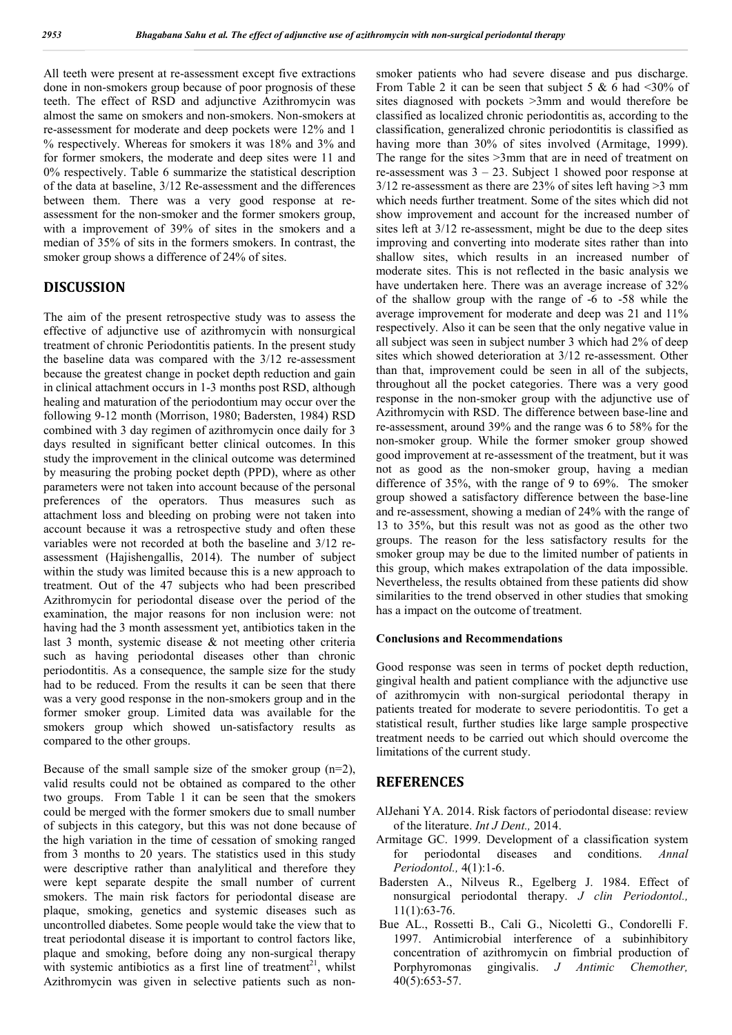All teeth were present at re-assessment except five extractions done in non-smokers group because of poor prognosis of these teeth. The effect of RSD and adjunctive Azithromycin was almost the same on smokers and non-smokers. Non-smokers at re-assessment for moderate and deep pockets were 12% and 1 % respectively. Whereas for smokers it was 18% and 3% and for former smokers, the moderate and deep sites were 11 and 0% respectively. Table 6 summarize the statistical description of the data at baseline, 3/12 Re-assessment and the differences between them. There was a very good response at reassessment for the non-smoker and the former smokers group, with a improvement of 39% of sites in the smokers and a median of 35% of sits in the formers smokers. In contrast, the smoker group shows a difference of 24% of sites.

### **DISCUSSION**

The aim of the present retrospective study was to assess the effective of adjunctive use of azithromycin with nonsurgical treatment of chronic Periodontitis patients. In the present study the baseline data was compared with the 3/12 re-assessment because the greatest change in pocket depth reduction and gain in clinical attachment occurs in 1-3 months post RSD, although healing and maturation of the periodontium may occur over the following 9-12 month (Morrison, 1980; Badersten, 1984) RSD combined with 3 day regimen of azithromycin once daily for 3 days resulted in significant better clinical outcomes. In this study the improvement in the clinical outcome was determined by measuring the probing pocket depth (PPD), where as other parameters were not taken into account because of the personal preferences of the operators. Thus measures such as attachment loss and bleeding on probing were not taken into account because it was a retrospective study and often these variables were not recorded at both the baseline and 3/12 reassessment (Hajishengallis, 2014). The number of subject within the study was limited because this is a new approach to treatment. Out of the 47 subjects who had been prescribed Azithromycin for periodontal disease over the period of the examination, the major reasons for non inclusion were: not having had the 3 month assessment yet, antibiotics taken in the last 3 month, systemic disease & not meeting other criteria such as having periodontal diseases other than chronic periodontitis. As a consequence, the sample size for the study had to be reduced. From the results it can be seen that there was a very good response in the non-smokers group and in the former smoker group. Limited data was available for the smokers group which showed un-satisfactory results as compared to the other groups.

Because of the small sample size of the smoker group  $(n=2)$ , valid results could not be obtained as compared to the other two groups. From Table 1 it can be seen that the smokers could be merged with the former smokers due to small number of subjects in this category, but this was not done because of the high variation in the time of cessation of smoking ranged from 3 months to 20 years. The statistics used in this study were descriptive rather than analylitical and therefore they were kept separate despite the small number of current smokers. The main risk factors for periodontal disease are plaque, smoking, genetics and systemic diseases such as uncontrolled diabetes. Some people would take the view that to treat periodontal disease it is important to control factors like, plaque and smoking, before doing any non-surgical therapy with systemic antibiotics as a first line of treatment<sup>21</sup>, whilst Azithromycin was given in selective patients such as nonsmoker patients who had severe disease and pus discharge. From Table 2 it can be seen that subject 5 & 6 had <30% of sites diagnosed with pockets >3mm and would therefore be classified as localized chronic periodontitis as, according to the classification, generalized chronic periodontitis is classified as having more than 30% of sites involved (Armitage, 1999). The range for the sites  $\geq 3$ mm that are in need of treatment on re-assessment was  $3 - 23$ . Subject 1 showed poor response at  $3/12$  re-assessment as there are 23% of sites left having  $>3$  mm which needs further treatment. Some of the sites which did not show improvement and account for the increased number of sites left at 3/12 re-assessment, might be due to the deep sites improving and converting into moderate sites rather than into shallow sites, which results in an increased number of moderate sites. This is not reflected in the basic analysis we have undertaken here. There was an average increase of 32% of the shallow group with the range of -6 to -58 while the average improvement for moderate and deep was 21 and 11% respectively. Also it can be seen that the only negative value in all subject was seen in subject number 3 which had 2% of deep sites which showed deterioration at 3/12 re-assessment. Other than that, improvement could be seen in all of the subjects, throughout all the pocket categories. There was a very good response in the non-smoker group with the adjunctive use of Azithromycin with RSD. The difference between base-line and re-assessment, around 39% and the range was 6 to 58% for the non-smoker group. While the former smoker group showed good improvement at re-assessment of the treatment, but it was not as good as the non-smoker group, having a median difference of 35%, with the range of 9 to 69%. The smoker group showed a satisfactory difference between the base-line and re-assessment, showing a median of 24% with the range of 13 to 35%, but this result was not as good as the other two groups. The reason for the less satisfactory results for the smoker group may be due to the limited number of patients in this group, which makes extrapolation of the data impossible. Nevertheless, the results obtained from these patients did show similarities to the trend observed in other studies that smoking has a impact on the outcome of treatment.

#### **Conclusions and Recommendations**

Good response was seen in terms of pocket depth reduction, gingival health and patient compliance with the adjunctive use of azithromycin with non-surgical periodontal therapy in patients treated for moderate to severe periodontitis. To get a statistical result, further studies like large sample prospective treatment needs to be carried out which should overcome the limitations of the current study.

#### **REFERENCES**

- AlJehani YA. 2014. Risk factors of periodontal disease: review of the literature. *Int J Dent.,* 2014.
- Armitage GC. 1999. Development of a classification system for periodontal diseases and conditions. *Annal Periodontol.,* 4(1):1-6.
- Badersten A., Nilveus R., Egelberg J. 1984. Effect of nonsurgical periodontal therapy. *J clin Periodontol.,* 11(1):63-76.
- Bue AL., Rossetti B., Cali G., Nicoletti G., Condorelli F. 1997. Antimicrobial interference of a subinhibitory concentration of azithromycin on fimbrial production of Porphyromonas gingivalis. *J Antimic Chemother,*  40(5):653-57.